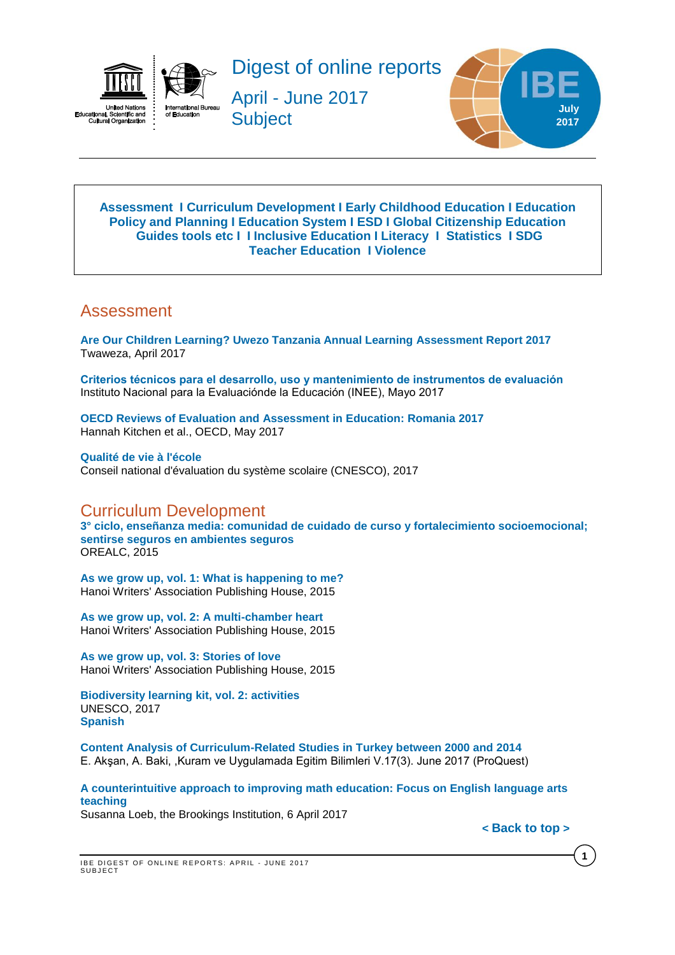



April - June 2017 **Subject** 



#### <span id="page-0-2"></span>**[Assessment](#page-0-0) I [Curriculum Development](#page-0-1) I [Early Childhood Education](#page-2-0) I [Education](#page-2-1)  [Policy and Planning](#page-2-1) I [Education](#page-3-0) System I [ESD](#page-3-1) I Global [Citizenship](#page-4-0) Education [Guides tools etc](#page-4-1) I I [Inclusive Education](#page-4-2) I [Literacy](#page-4-3) I [Statistics](#page-5-0) I [SDG](#page-4-4) [Teacher Education](#page-5-1) I [Violence](#page-6-0)**

# <span id="page-0-0"></span>Assessment

**[Are Our Children Learning? Uwezo Tanzania Annual Learning Assessment Report 2017](http://www.twaweza.org/uploads/files/Tanzania%20Report%202017%20Web%20Version.pdf)**  Twaweza, April 2017

**[Criterios técnicos para el desarrollo, uso y mantenimiento de instrumentos de evaluación](http://publicaciones.inee.edu.mx/buscadorPub/P1/E/104/P1E104.pdf)** Instituto Nacional para la Evaluaciónde la Educación (INEE), Mayo 2017

**OECD Reviews of Evaluation and [Assessment](http://www.oecd-ilibrary.org/education/romania-2017_9789264274051-en) in Education: Romania 2017** Hannah Kitchen et al., OECD, May 2017

**[Qualité de vie à l'école](https://www.cnesco.fr/fr/qualite-de-vie-a-lecole/)** Conseil national d'évaluation du système scolaire (CNESCO), 2017

# <span id="page-0-1"></span>Curriculum Development

**[3° ciclo, enseñanza media: comunidad de cuidado de curso y fortalecimiento socioemocional;](http://unesdoc.unesco.org/images/0024/002446/244694s.pdf)  [sentirse seguros en ambientes seguros](http://unesdoc.unesco.org/images/0024/002446/244694s.pdf)** OREALC, 2015

**[As we grow up, vol. 1: What is happening to me?](http://unesdoc.unesco.org/images/0024/002446/244640e.pdf)** Hanoi Writers' Association Publishing House, 2015

**[As we grow up, vol. 2: A multi-chamber heart](http://unesdoc.unesco.org/images/0024/002446/244641e.pdf)** Hanoi Writers' Association Publishing House, 2015

**[As we grow up, vol. 3: Stories of love](http://unesdoc.unesco.org/images/0024/002446/244642e.pdf)** Hanoi Writers' Association Publishing House, 2015

**[Biodiversity learning kit, vol. 2: activities](http://unesdoc.unesco.org/images/0024/002459/245982e.pdf)** UNESCO, 2017 **[Spanish](http://unesdoc.unesco.org/images/0024/002459/245984s.pdf)**

**[Content Analysis of Curriculum-Related Studies in Turkey between 2000 and 2014](http://search.proquest.com/central/docview/1912501534/fulltextPDF/726D76EF98C439FPQ/2?accountid=41859)** E. Akşan, A. Baki, ,Kuram ve Uygulamada Egitim Bilimleri V.17(3). June 2017 (ProQuest)

**[A counterintuitive approach to improving math education: Focus on English language arts](https://www.brookings.edu/research/a-counterintuitive-approach-to-improving-math-education-focus-on-english-language-arts-teaching/)  [teaching](https://www.brookings.edu/research/a-counterintuitive-approach-to-improving-math-education-focus-on-english-language-arts-teaching/)**

Susanna Loeb, the Brookings Institution, 6 April 2017

**< [Back](#page-0-2) to top >**

**1**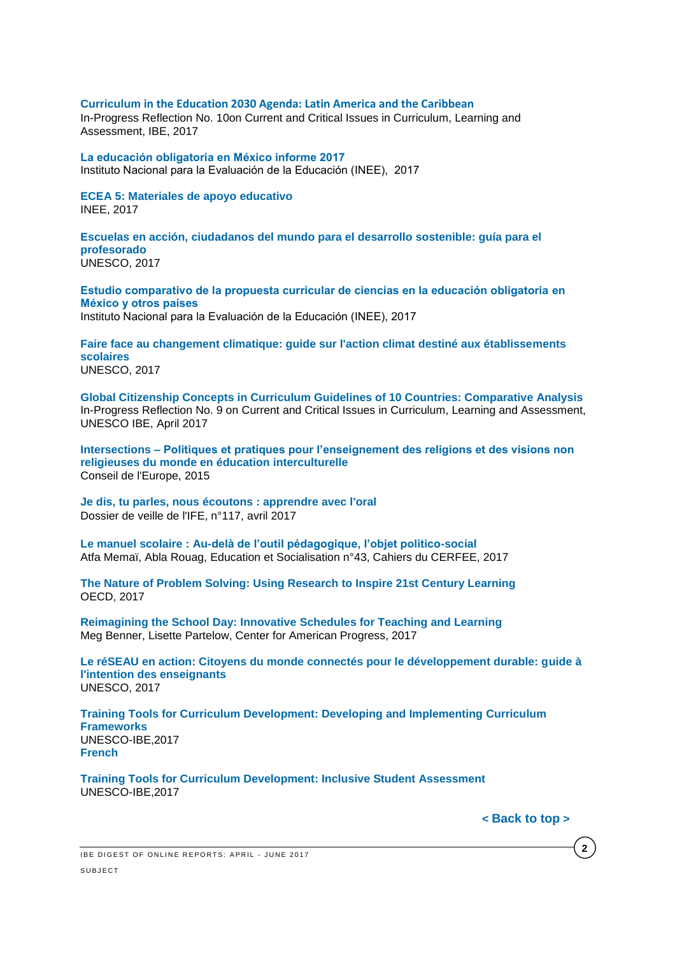#### **Curriculum [in the Education 2030 Agenda: Latin America and the Caribbean](http://unesdoc.unesco.org/images/0024/002482/248238e.pdf)**

In-Progress Reflection No. 10on Current and Critical Issues in Curriculum, Learning and Assessment, IBE, 2017

**[La educación obligatoria en México informe 2017](http://publicaciones.inee.edu.mx/buscadorPub/P1/I/242/P1I242.pdf)**  Instituto Nacional para la Evaluación de la Educación (INEE), 2017

**[ECEA 5: Materiales de apoyo educativo](http://publicaciones.inee.edu.mx/buscadorPub/P2/A/325/P2A325.pdf)** INEE, 2017

**[Escuelas en acción, ciudadanos del mundo para el desarrollo sostenible: guía para el](http://unesdoc.unesco.org/images/0024/002491/249129s.pdf)  [profesorado](http://unesdoc.unesco.org/images/0024/002491/249129s.pdf)** UNESCO, 2017

**[Estudio comparativo de la propuesta curricular de ciencias en la educación obligatoria](http://publicaciones.inee.edu.mx/buscadorPub/P1/F/211/P1F211.pdf) en [México y otros países](http://publicaciones.inee.edu.mx/buscadorPub/P1/F/211/P1F211.pdf)** 

Instituto Nacional para la Evaluación de la Educación (INEE), 2017

**[Faire face au changement climatique: guide sur l'action climat destiné aux établissements](http://unesdoc.unesco.org/images/0024/002478/247820f.pdf)  [scolaires](http://unesdoc.unesco.org/images/0024/002478/247820f.pdf)** UNESCO, 2017

**[Global Citizenship Concepts in Curriculum Guidelines of 10 Countries: Comparative Analysis](http://unesdoc.unesco.org/images/0024/002477/247788E.pdf)** In-Progress Reflection No. 9 on Current and Critical Issues in Curriculum, Learning and Assessment, UNESCO IBE, April 2017

**Intersections – [Politiques et pratiques pour l'enseignement des religions et des visions non](https://rm.coe.int/16806cd2f6)  [religieuses du monde en éducation interculturelle](https://rm.coe.int/16806cd2f6)** Conseil de l'Europe, 2015

**[Je dis, tu parles, nous écoutons : apprendre avec l'oral](http://ife.ens-lyon.fr/vst/DA-Veille/117-avril-2017.pdf)** Dossier de veille de l'IFE, n°117, avril 2017

**Le manuel scolaire [: Au-delà de l'outil pédagogique, l'objet politico-social](http://edso.revues.org/2014)** Atfa Memaï, Abla Rouag, Education et Socialisation n°43, Cahiers du CERFEE, 2017

**[The Nature of Problem Solving: Using Research to Inspire 21st Century Learning](http://www.oecd-ilibrary.org/education/the-nature-of-problem-solving_9789264273955-en)** OECD, 2017

**[Reimagining the School Day: Innovative Schedules for Teaching and Learning](https://cdn.americanprogress.org/content/uploads/2017/02/22121614/022217_InnovativeSchool-brief.pdf)** Meg Benner, Lisette Partelow, Center for American Progress, 2017

**[Le réSEAU en action: Citoyens du monde connectés pour le développement durable: guide à](http://unesdoc.unesco.org/images/0024/002478/247837f.pdf)  [l'intention des enseignants](http://unesdoc.unesco.org/images/0024/002478/247837f.pdf)** UNESCO, 2017

**[Training Tools for Curriculum Development: Developing and Implementing Curriculum](http://unesdoc.unesco.org/images/0025/002500/250052e.pdf)  [Frameworks](http://unesdoc.unesco.org/images/0025/002500/250052e.pdf)** UNESCO-IBE,2017 **[French](http://unesdoc.unesco.org/images/0025/002500/250052f.pdf)**

**[Training Tools for Curriculum Development: Inclusive Student Assessment](http://unesdoc.unesco.org/images/0025/002500/250054e.pdf)** UNESCO-IBE,2017

**< [Back](#page-0-2) to top >**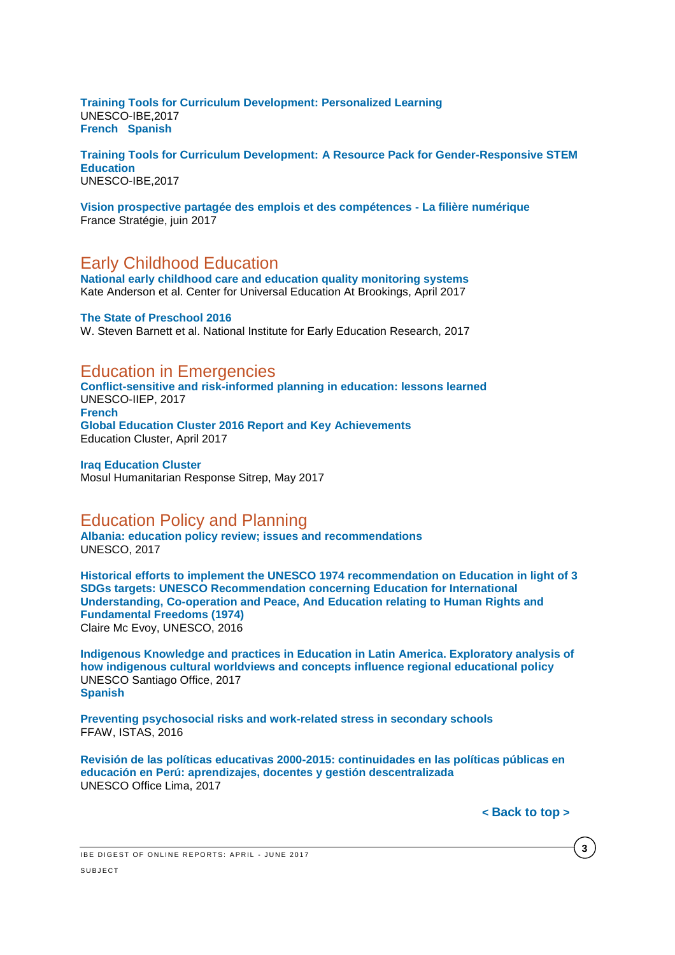**[Training Tools for Curriculum Development: Personalized Learning](http://unesdoc.unesco.org/images/0025/002500/250057e.pdf)** UNESCO-IBE,2017 **[French](http://unesdoc.unesco.org/images/0025/002500/250057f.pdf) [Spanish](http://unesdoc.unesco.org/images/0025/002500/250057s.pdf)**

**[Training Tools for Curriculum Development: A Resource Pack for Gender-Responsive STEM](http://unesdoc.unesco.org/images/0025/002505/250567E.pdf)  [Education](http://unesdoc.unesco.org/images/0025/002505/250567E.pdf)** [UNESCO-IBE,2017](http://www.strategie.gouv.fr/sites/strategie.gouv.fr/files/atoms/files/fs-rapport-rec-vppec-numerique-8juin-final_0.pdf)

**[Vision prospective partagée des emplois et des compétences -](http://www.strategie.gouv.fr/sites/strategie.gouv.fr/files/atoms/files/fs-rapport-rec-vppec-numerique-8juin-final_0.pdf) La filière numérique** France Stratégie, juin 2017

# <span id="page-2-0"></span>Early Childhood Education

**[National early childhood care and education quality monitoring systems](https://www.brookings.edu/wp-content/uploads/2017/04/global_20170427_early-childhood-care.pdf)** Kate Anderson et al. Center for Universal Education At Brookings, April 2017

**[The State of Preschool 2016](http://nieer.org/wp-content/uploads/2017/05/YB2016_StateofPreschool2.pdf)** W. Steven Barnett et al. National Institute for Early Education Research, 2017

# Education in Emergencies

**[Conflict-sensitive and risk-informed planning in education: lessons learned](http://unesdoc.unesco.org/images/0024/002471/247146e.pdf)** UNESCO-IIEP, 2017 **[French](http://unesdoc.unesco.org/images/0024/002471/247146f.pdf) [Global Education Cluster 2016 Report and Key Achievements](http://educationcluster.net/wp-content/uploads/2017/04/Global-Education-Cluster-2016-Report_FINAL_2017-03-22.pdf)** Education Cluster, April 2017

**[Iraq Education Cluster](https://www.humanitarianresponse.info/system/files/documents/files/education_cluster_situation_report_-_7_may_2017.pdf)**  Mosul Humanitarian Response Sitrep, May 2017

#### <span id="page-2-1"></span>Education Policy and Planning

**[Albania: education policy review; issues and recommendations](http://unesdoc.unesco.org/images/0024/002479/247993e.pdf)** UNESCO, 2017

**[Historical efforts to implement the UNESCO 1974 recommendation on Education in light of 3](http://unesdoc.unesco.org/images/0024/002472/247275e.pdf)  [SDGs targets: UNESCO Recommendation concerning Education for International](http://unesdoc.unesco.org/images/0024/002472/247275e.pdf)  [Understanding, Co-operation and Peace, And Education relating to Human Rights and](http://unesdoc.unesco.org/images/0024/002472/247275e.pdf)  [Fundamental Freedoms \(1974\)](http://unesdoc.unesco.org/images/0024/002472/247275e.pdf)** Claire Mc Evoy, UNESCO, 2016

**[Indigenous Knowledge and practices in Education in Latin America. Exploratory analysis of](http://unesdoc.unesco.org/images/0024/002477/247754E.pdf)  [how indigenous cultural worldviews and concepts influence regional educational policy](http://unesdoc.unesco.org/images/0024/002477/247754E.pdf)** UNESCO Santiago Office, 2017 **[Spanish](http://unesdoc.unesco.org/images/0024/002477/247754S.pdf)**

**[Preventing psychosocial risks and work-related stress in secondary schools](https://www.csee-etuce.org/images/attachments/Report_ETUCE_EFEE_Stress_reduction_project_FFAW-ISTAS_120416_2.pdf)** FFAW, ISTAS, 2016

**[Revisión de las políticas educativas 2000-2015: continuidades en las políticas públicas en](http://unesdoc.unesco.org/images/0024/002491/249171s.pdf)  [educación en Perú: aprendizajes, docentes y gestión descentralizada](http://unesdoc.unesco.org/images/0024/002491/249171s.pdf)** UNESCO Office Lima, 2017

**< [Back](#page-0-2) to top >**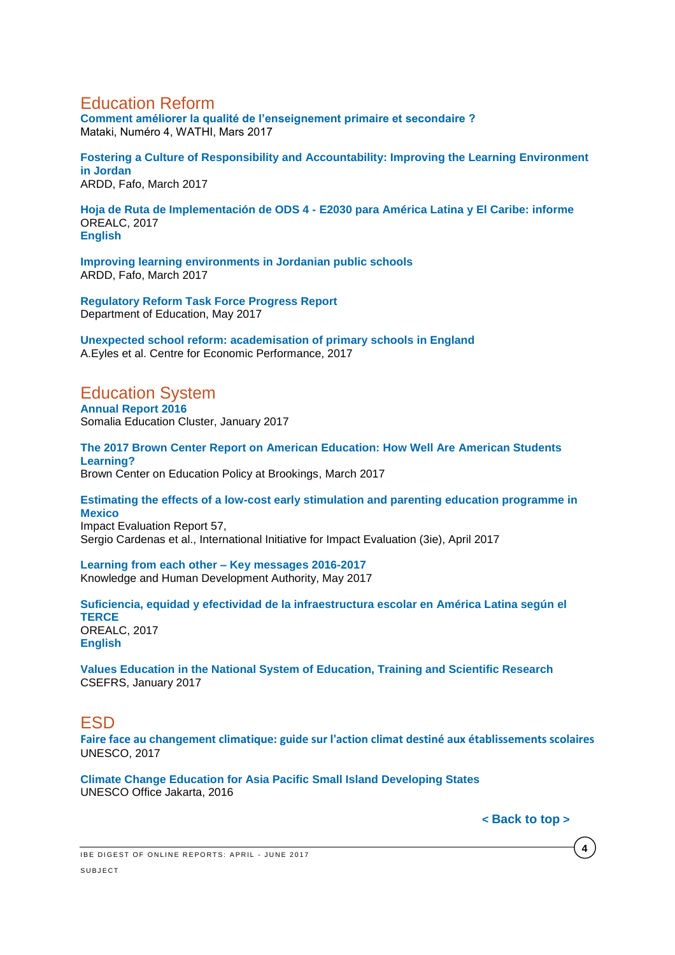# Education Reform

**[Comment améliorer la qualité de l'enseignement primaire et secondaire ?](http://www.wathi.org/wp-content/uploads/2017/03/Mataki_Education.pdf)**  Mataki, Numéro 4, WATHI, Mars 2017

**Fostering [a Culture of Responsibility and Accountability: Improving the Learning Environment](https://ardd-jo.org/sites/default/files/resource-files/fostering_a_culture_of_responsibility_and_accountability.compressed.pdf)  [in Jordan](https://ardd-jo.org/sites/default/files/resource-files/fostering_a_culture_of_responsibility_and_accountability.compressed.pdf)** ARDD, Fafo, March 2017

**[Hoja de Ruta de Implementación de ODS 4 -](http://unesdoc.unesco.org/images/0024/002498/249810s.pdf) E2030 para América Latina y El Caribe: informe** OREALC, 2017 **[English](http://unesdoc.unesco.org/images/0024/002498/249810e.pdf)**

**[Improving learning environments in Jordanian public schools](https://ardd-jo.org/sites/default/files/resource-files/improving_learning_environments_in_jordanian_public_schools.compressed_12_0.pdf)** ARDD, Fafo, March 2017

**[Regulatory Reform Task Force Progress Report](https://www2.ed.gov/documents/press-releases/regulatory-reform-task-force-progress-report.pdf?utm_content=&utm_medium=email&utm_name=&utm_source=govdelivery&utm_term=)** Department of Education, May 2017

**[Unexpected school reform: academisation of primary schools in England](http://eprints.lse.ac.uk/69027/)** A.Eyles et al. Centre for Economic Performance, 2017

# <span id="page-3-0"></span>Education System

**[Annual Report 2016](http://reliefweb.int/sites/reliefweb.int/files/resources/somalia_education_cluster_annual_report_2016.pdf)**  Somalia Education Cluster, January 2017

**[The 2017 Brown Center Report on American Education: How Well Are American Students](https://www.brookings.edu/wp-content/uploads/2017/03/2017-brown-center-report-on-american-education.pdf)  [Learning?](https://www.brookings.edu/wp-content/uploads/2017/03/2017-brown-center-report-on-american-education.pdf)** Brown Center on Education Policy at Brookings, March 2017

**[Estimating the effects of a low-cost early stimulation and parenting education programme in](http://www.3ieimpact.org/media/filer_public/2017/04/24/ie57-mexico-childcare.pdf)  [Mexico](http://www.3ieimpact.org/media/filer_public/2017/04/24/ie57-mexico-childcare.pdf)** 

Impact Evaluation Report 57, Sergio Cardenas et al., International Initiative for Impact Evaluation (3ie), April 2017

**[Learning from each other –](https://www.khda.gov.ae/Areas/Administration/Content/FileUploads/Publication/Documents/English/20170516132050_KF2017_En.pdf) Key messages 2016-2017** Knowledge and Human Development Authority, May 2017

**[Suficiencia, equidad y efectividad de la infraestructura escolar en América Latina según el](http://unesdoc.unesco.org/images/0024/002475/247571s.pdf)  [TERCE](http://unesdoc.unesco.org/images/0024/002475/247571s.pdf)** OREALC, 2017 **[English](http://unesdoc.unesco.org/images/0024/002475/247571e.pdf)**

**[Values Education in the National System of Education, Training and Scientific Research](http://www.csefrs.ma/pdf/Resume-REAV-EN.pdf)**  CSEFRS, January 2017

# <span id="page-3-1"></span>ESD

**Faire face au changement [climatique: guide sur l'action climat destiné aux établissements scolaires](http://unesdoc.unesco.org/images/0024/002478/247820f.pdf)** UNESCO, 2017

**[Climate Change Education for Asia Pacific Small Island Developing States](http://unesdoc.unesco.org/images/0024/002443/244336e.pdf)** UNESCO Office Jakarta, 2016

**< [Back](#page-0-2) to top >**

**4**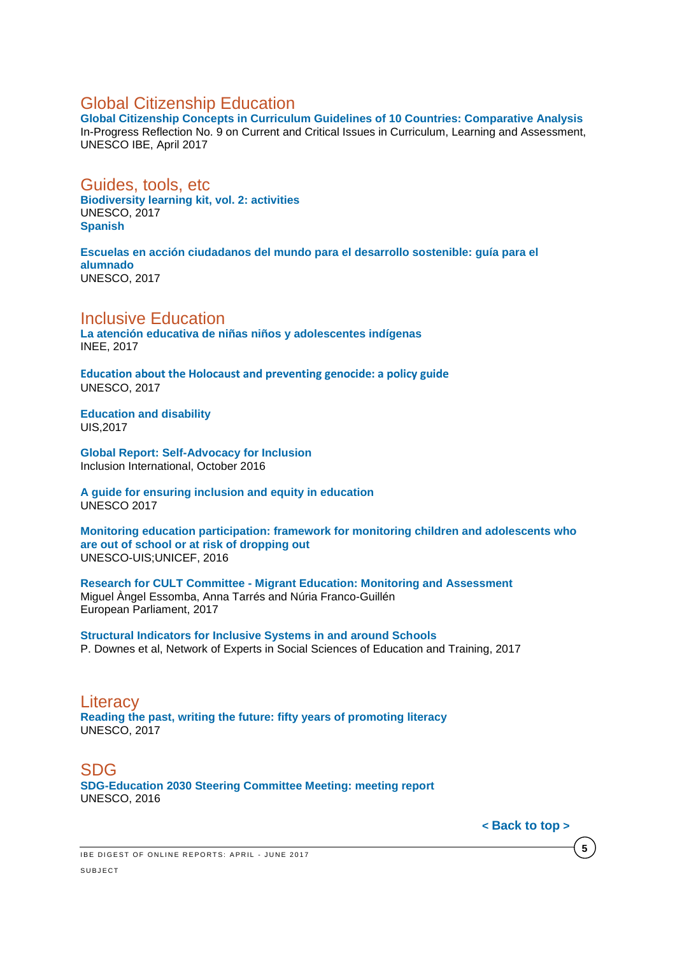# <span id="page-4-0"></span>Global Citizenship Education

**[Global Citizenship Concepts in Curriculum Guidelines of 10 Countries: Comparative Analysis](http://unesdoc.unesco.org/images/0024/002477/247788E.pdf)** In-Progress Reflection No. 9 on Current and Critical Issues in Curriculum, Learning and Assessment, UNESCO IBE, April 2017

#### <span id="page-4-1"></span>Guides, tools, etc

**[Biodiversity learning kit, vol. 2: activities](http://unesdoc.unesco.org/images/0024/002459/245982e.pdf)** UNESCO, 2017 **[Spanish](http://unesdoc.unesco.org/images/0024/002459/245984s.pdf)**

### **[Escuelas en acción ciudadanos del mundo para el desarrollo sostenible: guía para el](http://unesdoc.unesco.org/images/0024/002485/248527s.pdf)  [alumnado](http://unesdoc.unesco.org/images/0024/002485/248527s.pdf)**

UNESCO, 2017

#### <span id="page-4-2"></span>Inclusive Education

**[La atención educativa de niñas niños y adolescentes indígenas](http://publicaciones.inee.edu.mx/buscadorPub/P2/A/324/P2A324.pdf)** INEE, 2017

**Education about the Holocaust and [preventing genocide: a policy guide](http://unesdoc.unesco.org/images/0024/002480/248071e.pdf)** UNESCO, 2017

**[Education and disability](http://unesdoc.unesco.org/images/0024/002475/247516e.pdf)** UIS,2017

**[Global Report: Self-Advocacy for Inclusion](http://inclusion-international.org/wp-content/uploads/2016/11/Global-report-on-self-advocacy.pdf)** Inclusion International, October 2016

**[A guide for ensuring inclusion and equity in education](http://unesdoc.unesco.org/images/0024/002482/248254E.pdf)** UNESCO 2017

**[Monitoring education participation: framework for monitoring children and adolescents who](http://unesdoc.unesco.org/images/0024/002478/247861e.pdf)  [are out of school or at risk of dropping out](http://unesdoc.unesco.org/images/0024/002478/247861e.pdf)** UNESCO-UIS;UNICEF, 2016

**Research for CULT Committee - [Migrant Education: Monitoring and Assessment](http://www.europarl.europa.eu/RegData/etudes/STUD/2017/585903/IPOL_STU(2017)585903_EN.pdf)** Miguel Àngel Essomba, Anna Tarrés and Núria Franco-Guillén European Parliament, 2017

**[Structural Indicators for Inclusive Systems in and around Schools](https://bookshop.europa.eu/en/structural-indicators-for-inclusive-systems-in-and-around-schools-pbNC0116894/)** P. Downes et al, Network of Experts in Social Sciences of Education and Training, 2017

#### <span id="page-4-3"></span>**Literacy [Reading the past, writing the future: fifty years of promoting literacy](http://unesdoc.unesco.org/images/0024/002475/247563e.pdf)** UNESCO, 2017

<span id="page-4-4"></span>SDG **[SDG-Education 2030 Steering Committee Meeting: meeting report](http://unesdoc.unesco.org/images/0024/002496/249640e.pdf)** UNESCO, 2016

**< [Back](#page-0-2) to top >**

**5**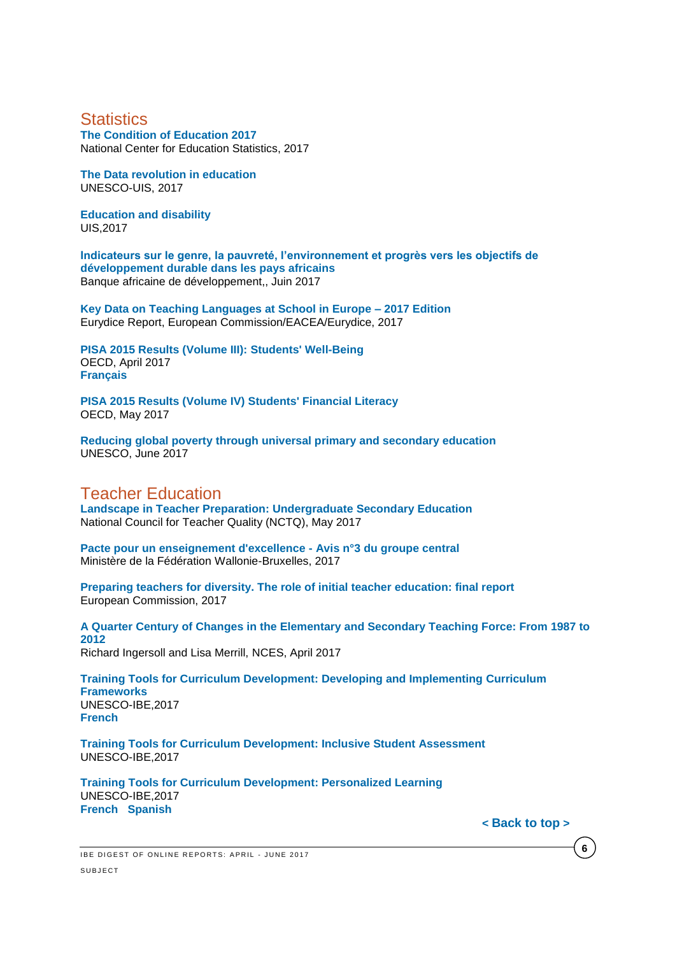# <span id="page-5-0"></span>**Statistics**

**[The Condition of Education 2017](https://nces.ed.gov/pubsearch/pubsinfo.asp?pubid=2017144)** National Center for Education Statistics, 2017

**[The Data revolution in education](http://unesdoc.unesco.org/images/0024/002477/247780e.pdf)** UNESCO-UIS, 2017

**[Education and disability](http://unesdoc.unesco.org/images/0024/002475/247516e.pdf)** UIS,2017

**[Indicateurs sur le genre, la pauvreté, l'environnement et progrès vers les objectifs de](https://www.afdb.org/fileadmin/uploads/afdb/Documents/Publications/GENDER_Poverty_and_Environmental_Indicators_on_African_Countries-2017.pdf)  développement [durable dans les pays africains](https://www.afdb.org/fileadmin/uploads/afdb/Documents/Publications/GENDER_Poverty_and_Environmental_Indicators_on_African_Countries-2017.pdf)** Banque africaine de développement,, Juin 2017

**[Key Data on Teaching Languages at School in Europe –](https://webgate.ec.europa.eu/fpfis/mwikis/eurydice/images/0/06/KDL_2017_internet.pdf) 2017 Edition** Eurydice Report, European Commission/EACEA/Eurydice, 2017

**[PISA 2015 Results \(Volume III\): Students' Well-Being](http://www.oecd-ilibrary.org/docserver/download/9817021e.pdf?expires=1493107433&id=id&accname=guest&checksum=5DF0F1DD2AAF90FC509BB7330C5B10FE)** OECD, April 2017 **[Français](http://www.oecd.org/pisa/PISA-a-la-loupe-71-Les-eleves-sont-ils-heureux.pdf)**

**PISA 2015 Results (Volume [IV\) Students' Financial Literacy](http://www.oecd-ilibrary.org/education/pisa-2015-results-volume-iv_9789264270282-en)** OECD, May 2017

**[Reducing global poverty through universal primary and secondary education](http://unesdoc.unesco.org/images/0025/002503/250392e.pdf)** UNESCO, June 2017

# <span id="page-5-1"></span>Teacher Education

**[Landscape in Teacher Preparation: Undergraduate Secondary Education](http://www.nctq.org/dmsView/Landscapes_-_2017_UG_Secondary)** National Council for Teacher Quality (NCTQ), May 2017

**[Pacte pour un enseignement d'excellence -](http://www.pactedexcellence.be/wp-content/uploads/2017/04/PACTE-Avis3_versionfinale.pdf) Avis n°3 du groupe central** Ministère de la Fédération Wallonie-Bruxelles, 2017

**[Preparing teachers for diversity. The role of initial teacher education: final report](https://publications.europa.eu/fr/publication-detail/-/publication/b347bf7d-1db1-11e7-aeb3-01aa75ed71a1)** European Commission, 2017

**[A Quarter Century of Changes in the Elementary and Secondary Teaching Force: From 1987 to](https://nces.ed.gov/pubs2017/2017092.pdf)  [2012](https://nces.ed.gov/pubs2017/2017092.pdf)** Richard Ingersoll and Lisa Merrill, NCES, April 2017

**[Training Tools for Curriculum Development: Developing and Implementing Curriculum](http://unesdoc.unesco.org/images/0025/002500/250052e.pdf)  [Frameworks](http://unesdoc.unesco.org/images/0025/002500/250052e.pdf)** UNESCO-IBE,2017 **[French](http://unesdoc.unesco.org/images/0025/002500/250052f.pdf)**

**[Training Tools for Curriculum Development: Inclusive Student Assessment](http://unesdoc.unesco.org/images/0025/002500/250054e.pdf)** UNESCO-IBE,2017

**[Training Tools for Curriculum Development: Personalized Learning](http://unesdoc.unesco.org/images/0025/002500/250057e.pdf)** UNESCO-IBE,2017 **[French](http://unesdoc.unesco.org/images/0025/002500/250057f.pdf) [Spanish](http://unesdoc.unesco.org/images/0025/002500/250057s.pdf)**

**< [Back](#page-0-2) to top >**